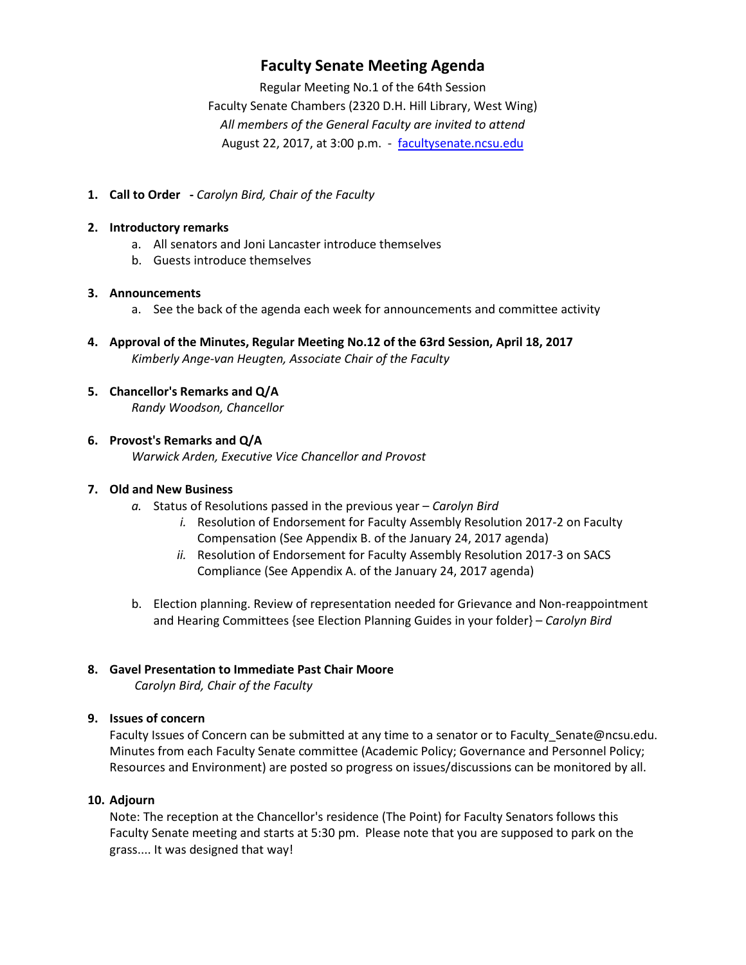# **Faculty Senate Meeting Agenda**

Regular Meeting No.1 of the 64th Session Faculty Senate Chambers (2320 D.H. Hill Library, West Wing) *All members of the General Faculty are invited to attend* August 22, 2017, at 3:00 p.m. - [facultysenate.ncsu.edu](https://facultysenate.ncsu.edu/)

**1. Call to Order -** *Carolyn Bird, Chair of the Faculty*

## **2. Introductory remarks**

- a. All senators and Joni Lancaster introduce themselves
- b. Guests introduce themselves

### **3. Announcements**

- a. See the back of the agenda each week for announcements and committee activity
- **4. Approval of the Minutes, Regular Meeting No.12 of the 63rd Session, April 18, 2017** *Kimberly Ange-van Heugten, Associate Chair of the Faculty*

### **5. Chancellor's Remarks and Q/A** *Randy Woodson, Chancellor*

# **6. Provost's Remarks and Q/A**

*Warwick Arden, Executive Vice Chancellor and Provost*

## **7. Old and New Business**

- *a.* Status of Resolutions passed in the previous year *Carolyn Bird*
	- *i.* Resolution of Endorsement for Faculty Assembly Resolution 2017-2 on Faculty Compensation (See Appendix B. of the January 24, 2017 agenda)
	- *ii.* Resolution of Endorsement for Faculty Assembly Resolution 2017-3 on SACS Compliance (See Appendix A. of the January 24, 2017 agenda)
- b. Election planning. Review of representation needed for Grievance and Non-reappointment and Hearing Committees {see Election Planning Guides in your folder} – *Carolyn Bird*

# **8. Gavel Presentation to Immediate Past Chair Moore**

*Carolyn Bird, Chair of the Faculty*

### **9. Issues of concern**

Faculty Issues of Concern can be submitted at any time to a senator or to Faculty\_Senate@ncsu.edu. Minutes from each Faculty Senate committee (Academic Policy; Governance and Personnel Policy; Resources and Environment) are posted so progress on issues/discussions can be monitored by all.

### **10. Adjourn**

Note: The reception at the Chancellor's residence (The Point) for Faculty Senators follows this Faculty Senate meeting and starts at 5:30 pm. Please note that you are supposed to park on the grass.... It was designed that way!